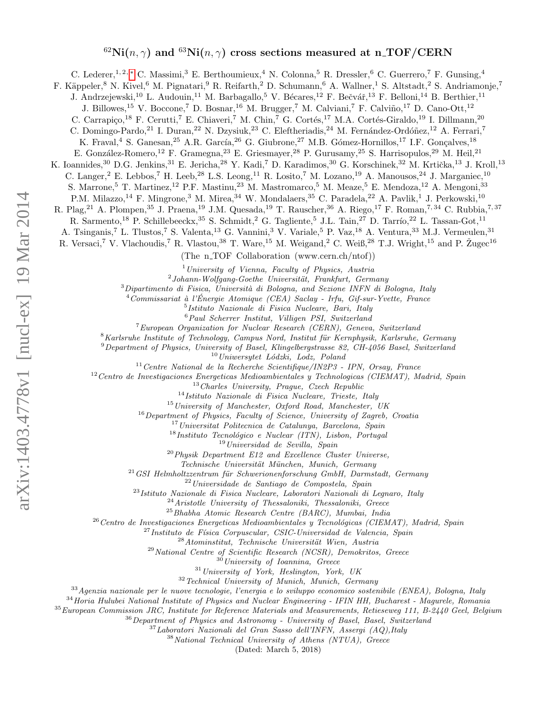# $^{62}Ni(n,\gamma)$  and  $^{63}Ni(n,\gamma)$  cross sections measured at n\_TOF/CERN

C. Lederer,<sup>1, 2, \*</sup> C. Massimi,<sup>3</sup> E. Berthoumieux,<sup>4</sup> N. Colonna,<sup>5</sup> R. Dressler,<sup>6</sup> C. Guerrero,<sup>7</sup> F. Gunsing,<sup>4</sup> F. Käppeler,<sup>8</sup> N. Kivel,<sup>6</sup> M. Pignatari,<sup>9</sup> R. Reifarth,<sup>2</sup> D. Schumann,<sup>6</sup> A. Wallner,<sup>1</sup> S. Altstadt,<sup>2</sup> S. Andriamonje,<sup>7</sup> J. Andrzejewski,<sup>10</sup> L. Audouin,<sup>11</sup> M. Barbagallo,<sup>5</sup> V. Bécares,<sup>12</sup> F. Bečvář,<sup>13</sup> F. Belloni,<sup>14</sup> B. Berthier,<sup>11</sup> J. Billowes,<sup>15</sup> V. Boccone,<sup>7</sup> D. Bosnar,<sup>16</sup> M. Brugger,<sup>7</sup> M. Calviani,<sup>7</sup> F. Calviño,<sup>17</sup> D. Cano-Ott,<sup>12</sup> C. Carrapiço,<sup>18</sup> F. Cerutti,<sup>7</sup> E. Chiaveri,<sup>7</sup> M. Chin,<sup>7</sup> G. Cortés,<sup>17</sup> M.A. Cortés-Giraldo,<sup>19</sup> I. Dillmann,<sup>20</sup> C. Domingo-Pardo,<sup>21</sup> I. Duran,<sup>22</sup> N. Dzysiuk,<sup>23</sup> C. Eleftheriadis,<sup>24</sup> M. Fernández-Ordóñez,<sup>12</sup> A. Ferrari,<sup>7</sup> K. Fraval,<sup>4</sup> S. Ganesan,<sup>25</sup> A.R. García,<sup>26</sup> G. Giubrone,<sup>27</sup> M.B. Gómez-Hornillos,<sup>17</sup> I.F. Gonçalves,<sup>18</sup> E. González-Romero,<sup>12</sup> F. Gramegna,<sup>23</sup> E. Griesmayer,<sup>28</sup> P. Gurusamy,<sup>25</sup> S. Harrisopulos,<sup>29</sup> M. Heil,<sup>21</sup> K. Ioannides,<sup>30</sup> D.G. Jenkins,<sup>31</sup> E. Jericha,<sup>28</sup> Y. Kadi,<sup>7</sup> D. Karadimos,<sup>30</sup> G. Korschinek,<sup>32</sup> M. Krtička,<sup>13</sup> J. Kroll,<sup>13</sup> C. Langer,<sup>2</sup> E. Lebbos,<sup>7</sup> H. Leeb,<sup>28</sup> L.S. Leong,<sup>11</sup> R. Losito,<sup>7</sup> M. Lozano,<sup>19</sup> A. Manousos,<sup>24</sup> J. Marganiec,<sup>10</sup> S. Marrone,<sup>5</sup> T. Martinez,<sup>12</sup> P.F. Mastinu,<sup>23</sup> M. Mastromarco,<sup>5</sup> M. Meaze,<sup>5</sup> E. Mendoza,<sup>12</sup> A. Mengoni,<sup>33</sup> P.M. Milazzo,<sup>14</sup> F. Mingrone,<sup>3</sup> M. Mirea,<sup>34</sup> W. Mondalaers,<sup>35</sup> C. Paradela,<sup>22</sup> A. Pavlik,<sup>1</sup> J. Perkowski,<sup>10</sup> R. Plag,<sup>21</sup> A. Plompen,<sup>35</sup> J. Praena,<sup>19</sup> J.M. Quesada,<sup>19</sup> T. Rauscher,<sup>36</sup> A. Riego,<sup>17</sup> F. Roman,<sup>7,34</sup> C. Rubbia,<sup>7,37</sup> R. Sarmento,<sup>18</sup> P. Schillebeeckx,<sup>35</sup> S. Schmidt,<sup>2</sup> G. Tagliente,<sup>5</sup> J.L. Tain,<sup>27</sup> D. Tarrío,<sup>22</sup> L. Tassan-Got,<sup>11</sup> A. Tsinganis,<sup>7</sup> L. Tlustos,<sup>7</sup> S. Valenta,<sup>13</sup> G. Vannini,<sup>3</sup> V. Variale,<sup>5</sup> P. Vaz,<sup>18</sup> A. Ventura,<sup>33</sup> M.J. Vermeulen,<sup>31</sup> R. Versaci,<sup>7</sup> V. Vlachoudis,<sup>7</sup> R. Vlastou,<sup>38</sup> T. Ware,<sup>15</sup> M. Weigand,<sup>2</sup> C. Weiß,<sup>28</sup> T.J. Wright,<sup>15</sup> and P. Žugec<sup>16</sup> (The n<sub>-TOF</sub> Collaboration (www.cern.ch/ntof))  $1$ University of Vienna, Faculty of Physics, Austria  $^{2}$ Johann-Wolfgang-Goethe Universität, Frankfurt, Germany  $3$ Dipartimento di Fisica, Università di Bologna, and Sezione INFN di Bologna, Italy  $4$ Commissariat à l'Énergie Atomique (CEA) Saclay - Irfu, Gif-sur-Yvette, France 5 Istituto Nazionale di Fisica Nucleare, Bari, Italy  $6$ Paul Scherrer Institut, Villigen PSI, Switzerland <sup>7</sup>European Organization for Nuclear Research (CERN), Geneva, Switzerland  $8$ Karlsruhe Institute of Technology, Campus Nord, Institut für Kernphysik, Karlsruhe, Germany  $9$ Department of Physics, University of Basel, Klingelbergstrasse 82, CH-4056 Basel, Switzerland  $10$ Uniwersytet Lódzki, Lodz, Poland  $11$ Centre National de la Recherche Scientifique/IN2P3 - IPN, Orsay, France  $12$ Centro de Investigaciones Energeticas Medioambientales y Technologicas (CIEMAT), Madrid, Spain <sup>13</sup> Charles University, Prague, Czech Republic  $14$ Istituto Nazionale di Fisica Nucleare, Trieste, Italy  $^{15}$ University of Manchester, Oxford Road, Manchester, UK <sup>16</sup> Department of Physics, Faculty of Science, University of Zagreb, Croatia  $17$ Universitat Politecnica de Catalunya, Barcelona, Spain  $18$ Instituto Tecnológico e Nuclear (ITN), Lisbon, Portugal  $19$ Universidad de Sevilla, Spain  $^{20}$ Physik Department E12 and Excellence Cluster Universe, Technische Universität München, Munich, Germany

 $^{21}$ GSI Helmholtzzentrum für Schwerionenforschung GmbH, Darmstadt, Germany

<sup>22</sup>Universidade de Santiago de Compostela, Spain

 $^{23}$ Istituto Nazionale di Fisica Nucleare, Laboratori Nazionali di Legnaro, Italy

<sup>24</sup>Aristotle University of Thessaloniki, Thessaloniki, Greece

<sup>25</sup>Bhabha Atomic Research Centre (BARC), Mumbai, India

 $26$ Centro de Investigaciones Energeticas Medioambientales y Tecnológicas (CIEMAT), Madrid, Spain

 $^{27}$ Instituto de Física Corpuscular, CSIC-Universidad de Valencia, Spain

 $28$ Atominstitut, Technische Universität Wien, Austria

<sup>29</sup>National Centre of Scientific Research (NCSR), Demokritos, Greece

<sup>30</sup>University of Ioannina, Greece

 $31$  University of York, Heslington, York, UK

<sup>32</sup>Technical University of Munich, Munich, Germany

<sup>33</sup>Agenzia nazionale per le nuove tecnologie, l'energia e lo sviluppo economico sostenibile (ENEA), Bologna, Italy

<sup>34</sup>Horia Hulubei National Institute of Physics and Nuclear Engineering - IFIN HH, Bucharest - Magurele, Romania

 $35$ European Commission JRC, Institute for Reference Materials and Measurements, Retieseweg 111, B-2440 Geel, Belgium

 $^{36}\,Department$  of Physics and Astronomy - University of Basel, Basel, Switzerland

<sup>37</sup>Laboratori Nazionali del Gran Sasso dell'INFN, Assergi (AQ),Italy

<sup>38</sup>National Technical University of Athens (NTUA), Greece

(Dated: March 5, 2018)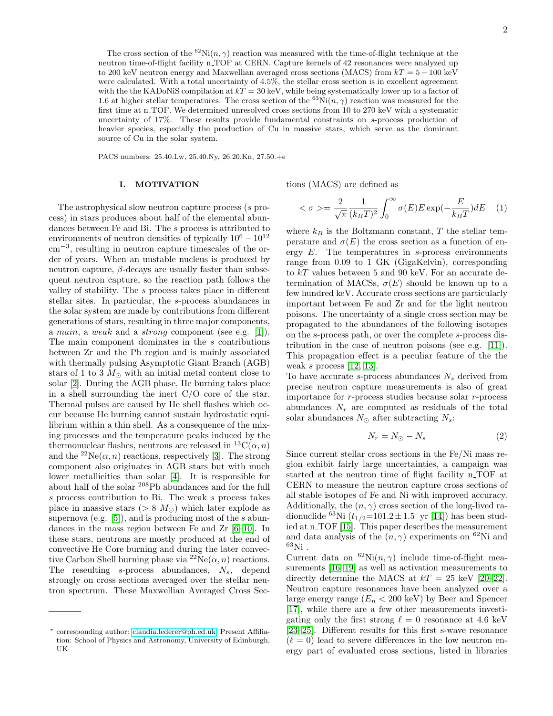The cross section of the <sup>62</sup>Ni(n,  $\gamma$ ) reaction was measured with the time-of-flight technique at the neutron time-of-flight facility n\_TOF at CERN. Capture kernels of 42 resonances were analyzed up to 200 keV neutron energy and Maxwellian averaged cross sections (MACS) from  $kT = 5-100$  keV were calculated. With a total uncertainty of 4.5%, the stellar cross section is in excellent agreement with the the KADoNiS compilation at  $kT = 30$  keV, while being systematically lower up to a factor of 1.6 at higher stellar temperatures. The cross section of the <sup>63</sup>Ni(n,  $\gamma$ ) reaction was measured for the first time at n.TOF. We determined unresolved cross sections from 10 to 270 keV with a systematic uncertainty of 17%. These results provide fundamental constraints on s-process production of heavier species, especially the production of Cu in massive stars, which serve as the dominant source of Cu in the solar system.

PACS numbers: 25.40.Lw, 25.40.Ny, 26.20.Kn, 27.50.+e

## I. MOTIVATION

The astrophysical slow neutron capture process (s process) in stars produces about half of the elemental abundances between Fe and Bi. The s process is attributed to environments of neutron densities of typically  $10^6 - 10^{12}$ cm−<sup>3</sup> , resulting in neutron capture timescales of the order of years. When an unstable nucleus is produced by neutron capture,  $β$ -decays are usually faster than subsequent neutron capture, so the reaction path follows the valley of stability. The s process takes place in different stellar sites. In particular, the s-process abundances in the solar system are made by contributions from different generations of stars, resulting in three major components, a main, a weak and a strong component (see e.g. [\[1\]](#page-9-0)). The main component dominates in the s contributions between Zr and the Pb region and is mainly associated with thermally pulsing Asymptotic Giant Branch (AGB) stars of 1 to 3  $M_{\odot}$  with an initial metal content close to solar [\[2\]](#page-9-1). During the AGB phase, He burning takes place in a shell surrounding the inert C/O core of the star. Thermal pulses are caused by He shell flashes which occur because He burning cannot sustain hydrostatic equilibrium within a thin shell. As a consequence of the mixing processes and the temperature peaks induced by the thermonuclear flashes, neutrons are released in  ${}^{13}C(\alpha, n)$ and the  ${}^{22}Ne(\alpha, n)$  reactions, respectively [\[3\]](#page-10-0). The strong component also originates in AGB stars but with much lower metallicities than solar [\[4\]](#page-10-1). It is responsible for about half of the solar <sup>208</sup>Pb abundances and for the full s process contribution to Bi. The weak s process takes place in massive stars ( $> 8$  M<sub> $\odot$ </sub>) which later explode as supernova (e.g.  $[5]$ ), and is producing most of the s abundances in the mass region between Fe and Zr [\[6](#page-10-3)[–10\]](#page-10-4). In these stars, neutrons are mostly produced at the end of convective He Core burning and during the later convective Carbon Shell burning phase via  ${}^{22}Ne(\alpha, n)$  reactions. The reseulting  $s$ -process abundances,  $N_s$ , depend strongly on cross sections averaged over the stellar neutron spectrum. These Maxwellian Averaged Cross Sections (MACS) are defined as

$$
\langle \sigma \rangle = \frac{2}{\sqrt{\pi}} \frac{1}{(k_B T)^2} \int_0^\infty \sigma(E) E \exp(-\frac{E}{k_B T}) dE \quad (1)
$$

where  $k_B$  is the Boltzmann constant, T the stellar temperature and  $\sigma(E)$  the cross section as a function of energy  $E$ . The temperatures in s-process environments range from 0.09 to 1 GK (GigaKelvin), corresponding to  $kT$  values between 5 and 90 keV. For an accurate determination of MACSs,  $\sigma(E)$  should be known up to a few hundred keV. Accurate cross sections are particularly important between Fe and Zr and for the light neutron poisons. The uncertainty of a single cross section may be propagated to the abundances of the following isotopes on the s-process path, or over the complete s-process distribution in the case of neutron poisons (see e.g. [\[11\]](#page-10-5)). This propagation effect is a peculiar feature of the the weak s process  $[12, 13]$  $[12, 13]$ .

To have accurate s-process abundances  $N_s$  derived from precise neutron capture measurements is also of great importance for r-process studies because solar r-process abundances  $N_r$  are computed as residuals of the total solar abundances  $N_{\odot}$  after subtracting  $N_s$ :

$$
N_r = N_{\odot} - N_s \tag{2}
$$

Since current stellar cross sections in the Fe/Ni mass region exhibit fairly large uncertainties, a campaign was started at the neutron time of flight facility n TOF at CERN to measure the neutron capture cross sections of all stable isotopes of Fe and Ni with improved accuracy. Additionally, the  $(n, \gamma)$  cross section of the long-lived radionuclide <sup>63</sup>Ni ( $t_{1/2}$ =101.2 ± 1.5 yr [\[14\]](#page-10-8)) has been stud-ied at n\_TOF [\[15\]](#page-10-9). This paper describes the measurement and data analysis of the  $(n, \gamma)$  experiments on <sup>62</sup>Ni and  $^{63}$ Ni.

Current data on  ${}^{62}$ Ni $(n, \gamma)$  include time-of-flight measurements [\[16–](#page-10-10)[19\]](#page-10-11) as well as activation measurements to directly determine the MACS at  $kT = 25$  keV [\[20–](#page-10-12)[22\]](#page-10-13). Neutron capture resonances have been analyzed over a large energy range  $(E_n < 200 \text{ keV})$  by Beer and Spencer [\[17\]](#page-10-14), while there are a few other measurements investigating only the first strong  $\ell = 0$  resonance at 4.6 keV [\[23–](#page-10-15)[25\]](#page-10-16). Different results for this first s-wave resonance  $(\ell = 0)$  lead to severe differences in the low neutron energy part of evaluated cross sections, listed in libraries

<span id="page-1-0"></span><sup>∗</sup> corresponding author: [claudia.lederer@ph.ed.uk;](mailto:claudia.lederer@ph.ed.uk) Present Affiliation: School of Physics and Astronomy, University of Edinburgh, UK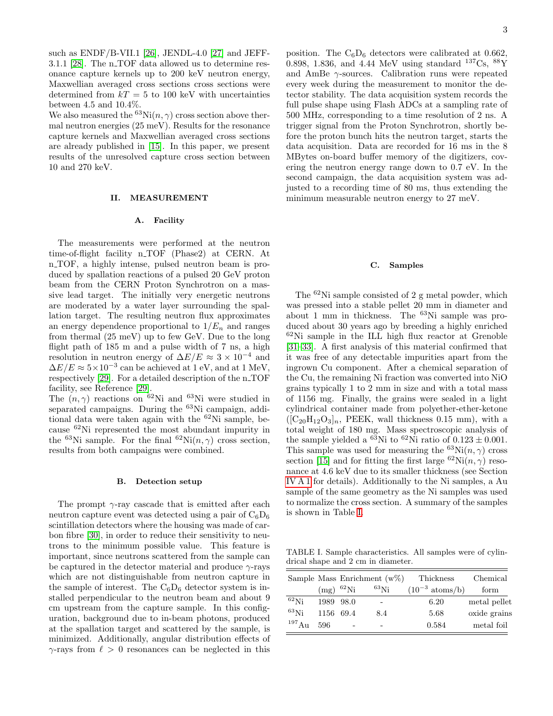such as  $ENDF/B-VII.1$  [\[26\]](#page-10-17), JENDL-4.0 [\[27\]](#page-10-18) and JEFF-3.1.1 [\[28\]](#page-10-19). The n\_TOF data allowed us to determine resonance capture kernels up to 200 keV neutron energy, Maxwellian averaged cross sections cross sections were determined from  $kT = 5$  to 100 keV with uncertainties between 4.5 and 10.4%.

We also measured the <sup>63</sup>Ni(n,  $\gamma$ ) cross section above thermal neutron energies (25 meV). Results for the resonance capture kernels and Maxwellian averaged cross sections are already published in [\[15\]](#page-10-9). In this paper, we present results of the unresolved capture cross section between 10 and 270 keV.

## II. MEASUREMENT

#### A. Facility

The measurements were performed at the neutron time-of-flight facility n TOF (Phase2) at CERN. At n TOF, a highly intense, pulsed neutron beam is produced by spallation reactions of a pulsed 20 GeV proton beam from the CERN Proton Synchrotron on a massive lead target. The initially very energetic neutrons are moderated by a water layer surrounding the spallation target. The resulting neutron flux approximates an energy dependence proportional to  $1/E_n$  and ranges from thermal (25 meV) up to few GeV. Due to the long flight path of 185 m and a pulse width of 7 ns, a high resolution in neutron energy of  $\Delta E/E \approx 3 \times 10^{-4}$  and  $\Delta E/E \approx 5 \times 10^{-3}$  can be achieved at 1 eV, and at 1 MeV, respectively [\[29\]](#page-10-20). For a detailed description of the n\_TOF facility, see Reference [\[29\]](#page-10-20).

The  $(n, \gamma)$  reactions on <sup>62</sup>Ni and <sup>63</sup>Ni were studied in separated campaigns. During the <sup>63</sup>Ni campaign, additional data were taken again with the <sup>62</sup>Ni sample, because <sup>62</sup>Ni represented the most abundant impurity in the <sup>63</sup>Ni sample. For the final <sup>62</sup>Ni $(n, \gamma)$  cross section, results from both campaigns were combined.

#### B. Detection setup

The prompt  $\gamma$ -ray cascade that is emitted after each neutron capture event was detected using a pair of  $C_6D_6$ scintillation detectors where the housing was made of carbon fibre [\[30\]](#page-10-21), in order to reduce their sensitivity to neutrons to the minimum possible value. This feature is important, since neutrons scattered from the sample can be captured in the detector material and produce  $\gamma$ -rays which are not distinguishable from neutron capture in the sample of interest. The  $C_6D_6$  detector system is installed perpendicular to the neutron beam and about 9 cm upstream from the capture sample. In this configuration, background due to in-beam photons, produced at the spallation target and scattered by the sample, is minimized. Additionally, angular distribution effects of  $\gamma$ -rays from  $\ell > 0$  resonances can be neglected in this

position. The  $C_6D_6$  detectors were calibrated at 0.662, 0.898, 1.836, and 4.44 MeV using standard  $^{137}Cs$ ,  $^{88}Y$ and AmBe γ-sources. Calibration runs were repeated every week during the measurement to monitor the detector stability. The data acquisition system records the full pulse shape using Flash ADCs at a sampling rate of 500 MHz, corresponding to a time resolution of 2 ns. A trigger signal from the Proton Synchrotron, shortly before the proton bunch hits the neutron target, starts the data acquisition. Data are recorded for 16 ms in the 8 MBytes on-board buffer memory of the digitizers, covering the neutron energy range down to 0.7 eV. In the second campaign, the data acquisition system was adjusted to a recording time of 80 ms, thus extending the minimum measurable neutron energy to 27 meV.

### C. Samples

The <sup>62</sup>Ni sample consisted of 2 g metal powder, which was pressed into a stable pellet 20 mm in diameter and about 1 mm in thickness. The <sup>63</sup>Ni sample was produced about 30 years ago by breeding a highly enriched  $62$ Ni sample in the ILL high flux reactor at Grenoble [\[31–](#page-10-22)[33\]](#page-10-23). A first analysis of this material confirmed that it was free of any detectable impurities apart from the ingrown Cu component. After a chemical separation of the Cu, the remaining Ni fraction was converted into NiO grains typically 1 to 2 mm in size and with a total mass of 1156 mg. Finally, the grains were sealed in a light cylindrical container made from polyether-ether-ketone  $([C_{20}H_{12}O_3]_n$ , PEEK, wall thickness 0.15 mm), with a total weight of 180 mg. Mass spectroscopic analysis of the sample yielded a <sup>63</sup>Ni to <sup>62</sup>Ni ratio of  $0.123 \pm 0.001$ . This sample was used for measuring the  ${}^{63}\text{Ni}(n, \gamma)$  cross section [\[15\]](#page-10-9) and for fitting the first large  ${}^{62}\text{Ni}(n,\gamma)$  resonance at 4.6 keV due to its smaller thickness (see Section [IV A 1](#page-5-0) for details). Additionally to the Ni samples, a Au sample of the same geometry as the Ni samples was used to normalize the cross section. A summary of the samples is shown in Table [I.](#page-2-0)

<span id="page-2-0"></span>TABLE I. Sample characteristics. All samples were of cylindrical shape and 2 cm in diameter.

|             |                |                   | Sample Mass Enrichment $(w\%)$ | Thickness                   | Chemical     |
|-------------|----------------|-------------------|--------------------------------|-----------------------------|--------------|
|             | $(mg)^{62}$ Ni |                   | $^{63}\rm{Ni}$                 | $(10^{-3} \text{ atoms/b})$ | form         |
| $^{62}$ Ni  | 1989 98.0      |                   |                                | 6.20                        | metal pellet |
| $^{63}$ Ni  | 1156 69.4      |                   | 8.4                            | 5.68                        | oxide grains |
| $^{197}$ Au | 596            | $\qquad \qquad -$ |                                | 0.584                       | metal foil   |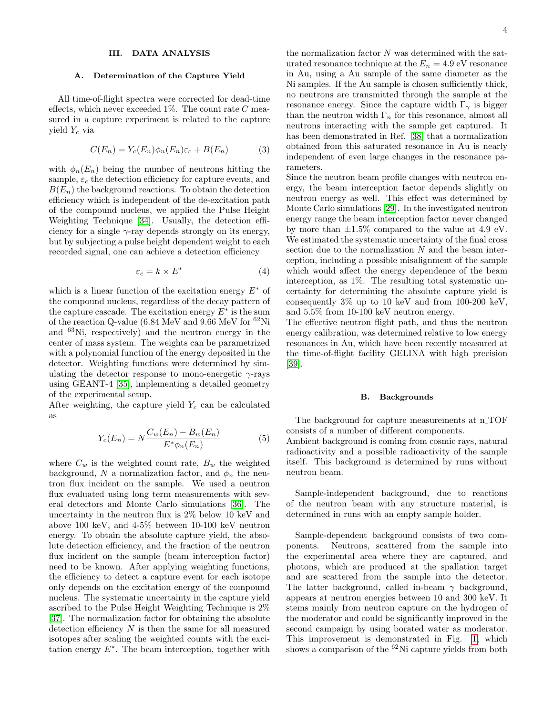## III. DATA ANALYSIS

#### A. Determination of the Capture Yield

All time-of-flight spectra were corrected for dead-time effects, which never exceeded  $1\%$ . The count rate C measured in a capture experiment is related to the capture yield  $Y_c$  via

$$
C(E_n) = Y_c(E_n)\phi_n(E_n)\varepsilon_c + B(E_n)
$$
 (3)

with  $\phi_n(E_n)$  being the number of neutrons hitting the sample,  $\varepsilon_c$  the detection efficiency for capture events, and  $B(E_n)$  the background reactions. To obtain the detection efficiency which is independent of the de-excitation path of the compound nucleus, we applied the Pulse Height Weighting Technique [\[34\]](#page-10-24). Usually, the detection efficiency for a single  $\gamma$ -ray depends strongly on its energy, but by subjecting a pulse height dependent weight to each recorded signal, one can achieve a detection efficiency

$$
\varepsilon_c = k \times E^* \tag{4}
$$

which is a linear function of the excitation energy  $E^*$  of the compound nucleus, regardless of the decay pattern of the capture cascade. The excitation energy  $E^*$  is the sum of the reaction Q-value (6.84 MeV and 9.66 MeV for  ${}^{62}$ Ni and <sup>63</sup>Ni, respectively) and the neutron energy in the center of mass system. The weights can be parametrized with a polynomial function of the energy deposited in the detector. Weighting functions were determined by simulating the detector response to mono-energetic  $\gamma$ -rays using GEANT-4 [\[35\]](#page-10-25), implementing a detailed geometry of the experimental setup.

After weighting, the capture yield  $Y_c$  can be calculated as

$$
Y_c(E_n) = N \frac{C_w(E_n) - B_w(E_n)}{E^* \phi_n(E_n)}
$$
(5)

where  $C_w$  is the weighted count rate,  $B_w$  the weighted background, N a normalization factor, and  $\phi_n$  the neutron flux incident on the sample. We used a neutron flux evaluated using long term measurements with several detectors and Monte Carlo simulations [\[36\]](#page-10-26). The uncertainty in the neutron flux is 2% below 10 keV and above 100 keV, and 4-5% between 10-100 keV neutron energy. To obtain the absolute capture yield, the absolute detection efficiency, and the fraction of the neutron flux incident on the sample (beam interception factor) need to be known. After applying weighting functions, the efficiency to detect a capture event for each isotope only depends on the excitation energy of the compound nucleus. The systematic uncertainty in the capture yield ascribed to the Pulse Height Weighting Technique is 2% [\[37\]](#page-10-27). The normalization factor for obtaining the absolute detection efficiency  $N$  is then the same for all measured isotopes after scaling the weighted counts with the excitation energy  $E^*$ . The beam interception, together with

the normalization factor  $N$  was determined with the saturated resonance technique at the  $E_n = 4.9 \text{ eV}$  resonance in Au, using a Au sample of the same diameter as the Ni samples. If the Au sample is chosen sufficiently thick, no neutrons are transmitted through the sample at the resonance energy. Since the capture width  $\Gamma_{\gamma}$  is bigger than the neutron width  $\Gamma_n$  for this resonance, almost all neutrons interacting with the sample get captured. It has been demonstrated in Ref. [\[38\]](#page-10-28) that a normalization obtained from this saturated resonance in Au is nearly independent of even large changes in the resonance parameters.

Since the neutron beam profile changes with neutron energy, the beam interception factor depends slightly on neutron energy as well. This effect was determined by Monte Carlo simulations [\[29\]](#page-10-20). In the investigated neutron energy range the beam interception factor never changed by more than  $\pm 1.5\%$  compared to the value at 4.9 eV. We estimated the systematic uncertainty of the final cross section due to the normalization  $N$  and the beam interception, including a possible misalignment of the sample which would affect the energy dependence of the beam interception, as 1%. The resulting total systematic uncertainty for determining the absolute capture yield is consequently 3% up to 10 keV and from 100-200 keV, and 5.5% from 10-100 keV neutron energy.

The effective neutron flight path, and thus the neutron energy calibration, was determined relative to low energy resonances in Au, which have been recently measured at the time-of-flight facility GELINA with high precision [\[39\]](#page-10-29).

## B. Backgrounds

The background for capture measurements at n\_TOF consists of a number of different components.

Ambient background is coming from cosmic rays, natural radioactivity and a possible radioactivity of the sample itself. This background is determined by runs without neutron beam.

Sample-independent background, due to reactions of the neutron beam with any structure material, is determined in runs with an empty sample holder.

Sample-dependent background consists of two components. Neutrons, scattered from the sample into the experimental area where they are captured, and photons, which are produced at the spallation target and are scattered from the sample into the detector. The latter background, called in-beam  $\gamma$  background, appears at neutron energies between 10 and 300 keV. It stems mainly from neutron capture on the hydrogen of the moderator and could be significantly improved in the second campaign by using borated water as moderator. This improvement is demonstrated in Fig. [1,](#page-4-0) which shows a comparison of the  ${}^{62}$ Ni capture yields from both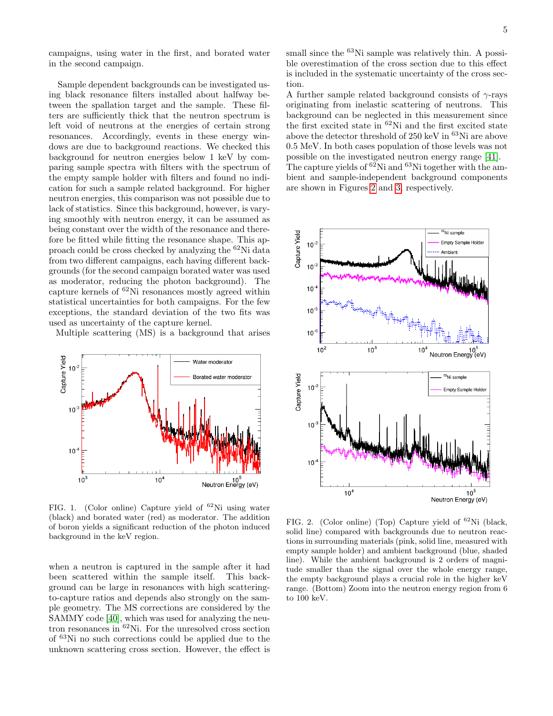campaigns, using water in the first, and borated water in the second campaign.

Sample dependent backgrounds can be investigated using black resonance filters installed about halfway between the spallation target and the sample. These filters are sufficiently thick that the neutron spectrum is left void of neutrons at the energies of certain strong resonances. Accordingly, events in these energy windows are due to background reactions. We checked this background for neutron energies below 1 keV by comparing sample spectra with filters with the spectrum of the empty sample holder with filters and found no indication for such a sample related background. For higher neutron energies, this comparison was not possible due to lack of statistics. Since this background, however, is varying smoothly with neutron energy, it can be assumed as being constant over the width of the resonance and therefore be fitted while fitting the resonance shape. This approach could be cross checked by analyzing the <sup>62</sup>Ni data from two different campaigns, each having different backgrounds (for the second campaign borated water was used as moderator, reducing the photon background). The capture kernels of  ${}^{62}$ Ni resonances mostly agreed within statistical uncertainties for both campaigns. For the few exceptions, the standard deviation of the two fits was used as uncertainty of the capture kernel.

Multiple scattering (MS) is a background that arises



<span id="page-4-0"></span>FIG. 1. (Color online) Capture yield of  ${}^{62}$ Ni using water (black) and borated water (red) as moderator. The addition of boron yields a significant reduction of the photon induced background in the keV region.

when a neutron is captured in the sample after it had been scattered within the sample itself. This background can be large in resonances with high scatteringto-capture ratios and depends also strongly on the sample geometry. The MS corrections are considered by the SAMMY code [\[40\]](#page-10-30), which was used for analyzing the neutron resonances in <sup>62</sup>Ni. For the unresolved cross section of <sup>63</sup>Ni no such corrections could be applied due to the unknown scattering cross section. However, the effect is

small since the <sup>63</sup>Ni sample was relatively thin. A possible overestimation of the cross section due to this effect is included in the systematic uncertainty of the cross section.

A further sample related background consists of  $\gamma$ -rays originating from inelastic scattering of neutrons. This background can be neglected in this measurement since the first excited state in <sup>62</sup>Ni and the first excited state above the detector threshold of  $250 \text{ keV}$  in  $63\text{Ni}$  are above 0.5 MeV. In both cases population of those levels was not possible on the investigated neutron energy range [\[41\]](#page-10-31). The capture yields of  $^{62}$ Ni and  $^{63}$ Ni together with the ambient and sample-independent background components are shown in Figures [2](#page-4-1) and [3,](#page-5-1) respectively.



<span id="page-4-1"></span>FIG. 2. (Color online) (Top) Capture yield of <sup>62</sup>Ni (black, solid line) compared with backgrounds due to neutron reactions in surrounding materials (pink, solid line, measured with empty sample holder) and ambient background (blue, shaded line). While the ambient background is 2 orders of magnitude smaller than the signal over the whole energy range, the empty background plays a crucial role in the higher keV range. (Bottom) Zoom into the neutron energy region from 6 to 100 keV.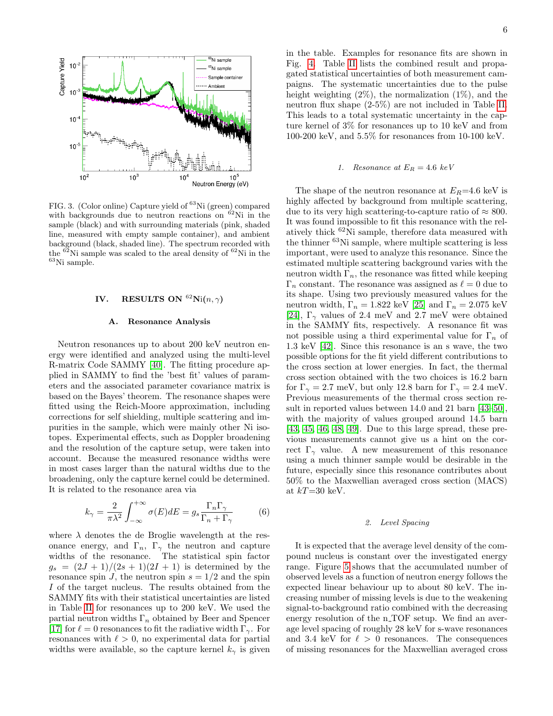

<span id="page-5-1"></span>FIG. 3. (Color online) Capture yield of <sup>63</sup>Ni (green) compared with backgrounds due to neutron reactions on  ${}^{62}$ Ni in the sample (black) and with surrounding materials (pink, shaded line, measured with empty sample container), and ambient background (black, shaded line). The spectrum recorded with the  $^{62}$ Ni sample was scaled to the areal density of  $^{62}$ Ni in the  $^{63}{\rm Ni}$  sample.

## IV. RESULTS ON  $^{62}$ Ni $(n, \gamma)$

#### A. Resonance Analysis

Neutron resonances up to about 200 keV neutron energy were identified and analyzed using the multi-level R-matrix Code SAMMY [\[40\]](#page-10-30). The fitting procedure applied in SAMMY to find the 'best fit' values of parameters and the associated parameter covariance matrix is based on the Bayes' theorem. The resonance shapes were fitted using the Reich-Moore approximation, including corrections for self shielding, multiple scattering and impurities in the sample, which were mainly other Ni isotopes. Experimental effects, such as Doppler broadening and the resolution of the capture setup, were taken into account. Because the measured resonance widths were in most cases larger than the natural widths due to the broadening, only the capture kernel could be determined. It is related to the resonance area via

$$
k_{\gamma} = \frac{2}{\pi \lambda^2} \int_{-\infty}^{+\infty} \sigma(E) dE = g_s \frac{\Gamma_n \Gamma_{\gamma}}{\Gamma_n + \Gamma_{\gamma}}
$$
(6)

where  $\lambda$  denotes the de Broglie wavelength at the resonance energy, and  $\Gamma_n$ ,  $\Gamma_\gamma$  the neutron and capture widths of the resonance. The statistical spin factor  $g_s = (2J + 1)/(2s + 1)(2I + 1)$  is determined by the resonance spin J, the neutron spin  $s = 1/2$  and the spin I of the target nucleus. The results obtained from the SAMMY fits with their statistical uncertainties are listed in Table [II](#page-6-0) for resonances up to 200 keV. We used the partial neutron widths  $\Gamma_n$  obtained by Beer and Spencer [\[17\]](#page-10-14) for  $\ell = 0$  resonances to fit the radiative width  $\Gamma_{\gamma}$ . For resonances with  $\ell > 0$ , no experimental data for partial widths were available, so the capture kernel  $k_{\gamma}$  is given

in the table. Examples for resonance fits are shown in Fig. [4.](#page-6-1) Table [II](#page-6-0) lists the combined result and propagated statistical uncertainties of both measurement campaigns. The systematic uncertainties due to the pulse height weighting  $(2\%)$ , the normalization  $(1\%)$ , and the neutron flux shape (2-5%) are not included in Table [II.](#page-6-0) This leads to a total systematic uncertainty in the capture kernel of 3% for resonances up to 10 keV and from 100-200 keV, and 5.5% for resonances from 10-100 keV.

## <span id="page-5-0"></span>1. Resonance at  $E_R = 4.6 \text{ keV}$

The shape of the neutron resonance at  $E_R$ =4.6 keV is highly affected by background from multiple scattering, due to its very high scattering-to-capture ratio of  $\approx 800$ . It was found impossible to fit this resonance with the relatively thick <sup>62</sup>Ni sample, therefore data measured with the thinner <sup>63</sup>Ni sample, where multiple scattering is less important, were used to analyze this resonance. Since the estimated multiple scattering background varies with the neutron width  $\Gamma_n$ , the resonance was fitted while keeping  $\Gamma_n$  constant. The resonance was assigned as  $\ell = 0$  due to its shape. Using two previously measured values for the neutron width,  $\Gamma_n=1.822$  keV [\[25\]](#page-10-16) and  $\Gamma_n=2.075$  keV [\[24\]](#page-10-32),  $\Gamma_{\gamma}$  values of 2.4 meV and 2.7 meV were obtained in the SAMMY fits, respectively. A resonance fit was not possible using a third experimental value for  $\Gamma_n$  of 1.3 keV [\[42\]](#page-10-33). Since this resonance is an s wave, the two possible options for the fit yield different contributions to the cross section at lower energies. In fact, the thermal cross section obtained with the two choices is 16.2 barn for  $\Gamma_{\gamma} = 2.7$  meV, but only 12.8 barn for  $\Gamma_{\gamma} = 2.4$  meV. Previous measurements of the thermal cross section result in reported values between 14.0 and 21 barn [\[43–](#page-10-34)[50\]](#page-10-35), with the majority of values grouped around 14.5 barn [\[43,](#page-10-34) [45,](#page-10-36) [46,](#page-10-37) [48,](#page-10-38) [49\]](#page-10-39). Due to this large spread, these previous measurements cannot give us a hint on the correct  $\Gamma_{\gamma}$  value. A new measurement of this resonance using a much thinner sample would be desirable in the future, especially since this resonance contributes about 50% to the Maxwellian averaged cross section (MACS) at  $kT=30$  keV.

## 2. Level Spacing

It is expected that the average level density of the compound nucleus is constant over the investigated energy range. Figure [5](#page-7-0) shows that the accumulated number of observed levels as a function of neutron energy follows the expected linear behaviour up to about 80 keV. The increasing number of missing levels is due to the weakening signal-to-background ratio combined with the decreasing energy resolution of the  $n$ -TOF setup. We find an average level spacing of roughly 28 keV for s-wave resonances and 3.4 keV for  $\ell > 0$  resonances. The consequences of missing resonances for the Maxwellian averaged cross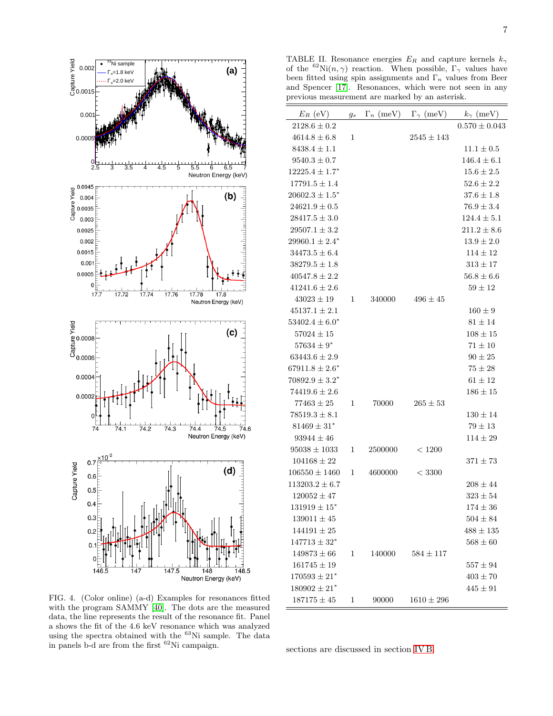

<span id="page-6-1"></span>FIG. 4. (Color online) (a-d) Examples for resonances fitted with the program SAMMY [\[40\]](#page-10-30). The dots are the measured data, the line represents the result of the resonance fit. Panel a shows the fit of the 4.6 keV resonance which was analyzed using the spectra obtained with the <sup>63</sup>Ni sample. The data in panels b-d are from the first  ${}^{62}$ Ni campaign.

<span id="page-6-0"></span>TABLE II. Resonance energies  $E_R$  and capture kernels  $k_{\gamma}$ of the <sup>62</sup>Ni $(n, \gamma)$  reaction. When possible,  $\Gamma_{\gamma}$  values have been fitted using spin assignments and  $\Gamma_n$  values from Beer and Spencer [\[17\]](#page-10-14). Resonances, which were not seen in any previous measurement are marked by an asterisk.

| $E_R$ (eV) $g_s$             |   |         | $\Gamma_n$ (meV) $\Gamma_\gamma$ (meV) | $k_{\gamma}$ (meV) |
|------------------------------|---|---------|----------------------------------------|--------------------|
| $2128.6 \pm 0.2$             |   |         |                                        | $0.570 \pm 0.043$  |
| $4614.8 \pm 6.8$             | 1 |         | $2545 \pm 143$                         |                    |
| $8438.4 \pm 1.1$             |   |         |                                        | $11.1 \pm 0.5$     |
| $9540.3 \pm 0.7$             |   |         |                                        | $146.4 \pm 6.1$    |
| $12225.4 \pm 1.7^*$          |   |         |                                        | $15.6 \pm 2.5$     |
| $17791.5 \pm 1.4$            |   |         |                                        | $52.6 \pm 2.2$     |
| $20602.3 \pm 1.5^*$          |   |         |                                        | $37.6 \pm 1.8$     |
| $24621.9 \pm 0.5$            |   |         |                                        | $76.9 \pm 3.4$     |
| $28417.5 \pm 3.0$            |   |         |                                        | $124.4 \pm 5.1$    |
| $29507.1 \pm 3.2$            |   |         |                                        | $211.2 \pm 8.6$    |
| $29960.1 \pm 2.4^*$          |   |         |                                        | $13.9 \pm 2.0$     |
| $34473.5 \pm 6.4$            |   |         |                                        | $114\pm12$         |
| $38279.5 \pm 1.8$            |   |         |                                        | $313\pm17$         |
| $40547.8 \pm 2.2$            |   |         |                                        | $56.8 \pm 6.6$     |
| $41241.6 \pm 2.6$            |   |         |                                        | $59 \pm 12$        |
| $43023 \pm 19$               | 1 | 340000  | $496 \pm 45$                           |                    |
| $45137.1 \pm 2.1$            |   |         |                                        | $160 \pm 9$        |
| $53402.4 \pm 6.0^*$          |   |         |                                        | $81 \pm 14$        |
| $57024 \pm 15$               |   |         |                                        | $108 \pm 15$       |
| $57634 \pm 9*$               |   |         |                                        | $71\pm10$          |
| $63443.6 \pm 2.9$            |   |         |                                        | $90\pm25$          |
| $67911.8 \pm 2.6^*$          |   |         |                                        | $75 \pm 28$        |
| $70892.9\pm3.2^*$            |   |         |                                        | $61 \pm 12$        |
| $74419.6 \pm 2.6$            |   |         |                                        | $186 \pm 15$       |
| $77463 \pm 25$               | 1 | 70000   | $265 \pm 53$                           |                    |
| $78519.3 \pm 8.1$            |   |         |                                        | $130 \pm 14$       |
| $81469 \pm 31^*$             |   |         |                                        | $79\pm13$          |
| $93944 \pm 46$               |   |         |                                        | $114 \pm 29$       |
| $95038 \pm 1033$             | 1 | 2500000 | < 1200                                 |                    |
| $104168 \pm 22$              |   |         |                                        | $371 \pm 73$       |
| $106550\pm1460$              | 1 | 4600000 | < 3300                                 |                    |
| $113203.2 \pm 6.7$           |   |         |                                        | $208 \pm 44$       |
| $120052 \pm 47$              |   |         |                                        | $323 \pm 54$       |
| $131919 \pm 15$ <sup>*</sup> |   |         |                                        | $174 \pm 36$       |
| $139011 \pm 45$              |   |         |                                        | $504 \pm 84$       |
| $144191 \pm 25$              |   |         |                                        | $488 \pm 135$      |
| $147713 \pm 32^*$            |   |         |                                        | $568 \pm 60$       |
| $149873 \pm 66$              | 1 | 140000  | $584 \pm 117$                          |                    |
| $161745 \pm 19$              |   |         |                                        | $557 \pm 94$       |
| $170593\pm21^*$              |   |         |                                        | $403 \pm 70$       |
| $180902 \pm 21$ <sup>*</sup> |   |         |                                        | $445 \pm 91$       |
| $187175 \pm 45$              | 1 | 90000   | $1610 \pm 296$                         |                    |

sections are discussed in section [IV B.](#page-7-1)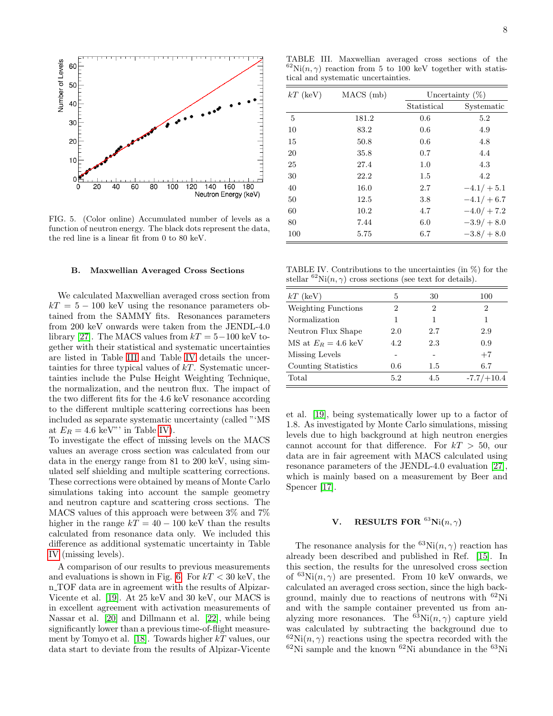

<span id="page-7-0"></span>FIG. 5. (Color online) Accumulated number of levels as a function of neutron energy. The black dots represent the data, the red line is a linear fit from 0 to 80 keV.

#### <span id="page-7-1"></span>B. Maxwellian Averaged Cross Sections

We calculated Maxwellian averaged cross section from  $kT = 5 - 100$  keV using the resonance parameters obtained from the SAMMY fits. Resonances parameters from 200 keV onwards were taken from the JENDL-4.0 library [\[27\]](#page-10-18). The MACS values from  $kT = 5-100$  keV together with their statistical and systematic uncertainties are listed in Table [III](#page-7-2) and Table [IV](#page-7-3) details the uncertainties for three typical values of  $kT$ . Systematic uncertainties include the Pulse Height Weighting Technique, the normalization, and the neutron flux. The impact of the two different fits for the 4.6 keV resonance according to the different multiple scattering corrections has been included as separate systematic uncertainty (called "'MS at  $E_R = 4.6 \text{ keV}$ " in Table [IV\)](#page-7-3).

To investigate the effect of missing levels on the MACS values an average cross section was calculated from our data in the energy range from 81 to 200 keV, using simulated self shielding and multiple scattering corrections. These corrections were obtained by means of Monte Carlo simulations taking into account the sample geometry and neutron capture and scattering cross sections. The MACS values of this approach were between 3% and 7% higher in the range  $kT = 40 - 100$  keV than the results calculated from resonance data only. We included this difference as additional systematic uncertainty in Table [IV](#page-7-3) (missing levels).

A comparison of our results to previous measurements and evaluations is shown in Fig. [6.](#page-8-0) For  $kT < 30$  keV, the n TOF data are in agreement with the results of Alpizar-Vicente et al. [\[19\]](#page-10-11). At 25 keV and 30 keV, our MACS is in excellent agreement with activation measurements of Nassar et al. [\[20\]](#page-10-12) and Dillmann et al. [\[22\]](#page-10-13), while being significantly lower than a previous time-of-flight measure-ment by Tomyo et al. [\[18\]](#page-10-40). Towards higher  $kT$  values, our data start to deviate from the results of Alpizar-Vicente

<span id="page-7-2"></span>TABLE III. Maxwellian averaged cross sections of the  $^{62}$ Ni $(n, \gamma)$  reaction from 5 to 100 keV together with statistical and systematic uncertainties.

| $kT$ (keV) | $MACS$ (mb) |             | Uncertainty $(\%)$ |
|------------|-------------|-------------|--------------------|
|            |             | Statistical | Systematic         |
| 5          | 181.2       | 0.6         | 5.2                |
| 10         | 83.2        | 0.6         | 4.9                |
| 15         | 50.8        | 0.6         | 4.8                |
| 20         | 35.8        | 0.7         | 4.4                |
| 25         | 27.4        | 1.0         | 4.3                |
| 30         | 22.2        | 1.5         | 4.2                |
| 40         | 16.0        | 2.7         | $-4.1/ + 5.1$      |
| 50         | 12.5        | 3.8         | $-4.1/ + 6.7$      |
| 60         | 10.2        | 4.7         | $-4.0/ + 7.2$      |
| 80         | 7.44        | 6.0         | $-3.9/ + 8.0$      |
| 100        | 5.75        | 6.7         | $-3.8/ + 8.0$      |
|            |             |             |                    |

<span id="page-7-3"></span>TABLE IV. Contributions to the uncertainties (in %) for the stellar  ${}^{62}\text{Ni}(n,\gamma)$  cross sections (see text for details).

| $kT$ (keV)                                 | 5   | 30  | 100          |
|--------------------------------------------|-----|-----|--------------|
| Weighting Functions                        | 2   | 2   | 2            |
| Normalization                              |     | 1   | 1            |
| Neutron Flux Shape                         | 2.0 | 2.7 | 2.9          |
| $\overline{MS}$ at $E_B = 4.6 \text{ keV}$ | 4.2 | 2.3 | 0.9          |
| Missing Levels                             |     |     | $+7$         |
| Counting Statistics                        | 0.6 | 1.5 | 6.7          |
| Total                                      | 5.2 | 4.5 | $-7.7/+10.4$ |

et al. [\[19\]](#page-10-11), being systematically lower up to a factor of 1.8. As investigated by Monte Carlo simulations, missing levels due to high background at high neutron energies cannot account for that difference. For  $kT > 50$ , our data are in fair agreement with MACS calculated using resonance parameters of the JENDL-4.0 evaluation [\[27\]](#page-10-18), which is mainly based on a measurement by Beer and Spencer [\[17\]](#page-10-14).

## **V.** RESULTS FOR  ${}^{63}$ Ni $(n, \gamma)$

The resonance analysis for the <sup>63</sup>Ni(n,  $\gamma$ ) reaction has already been described and published in Ref. [\[15\]](#page-10-9). In this section, the results for the unresolved cross section of  ${}^{63}\text{Ni}(n, \gamma)$  are presented. From 10 keV onwards, we calculated an averaged cross section, since the high background, mainly due to reactions of neutrons with <sup>62</sup>Ni and with the sample container prevented us from analyzing more resonances. The  ${}^{63}$ Ni $(n, \gamma)$  capture yield was calculated by subtracting the background due to  ${}^{62}$ Ni $(n, \gamma)$  reactions using the spectra recorded with the  $62$ Ni sample and the known  $62$ Ni abundance in the  $63$ Ni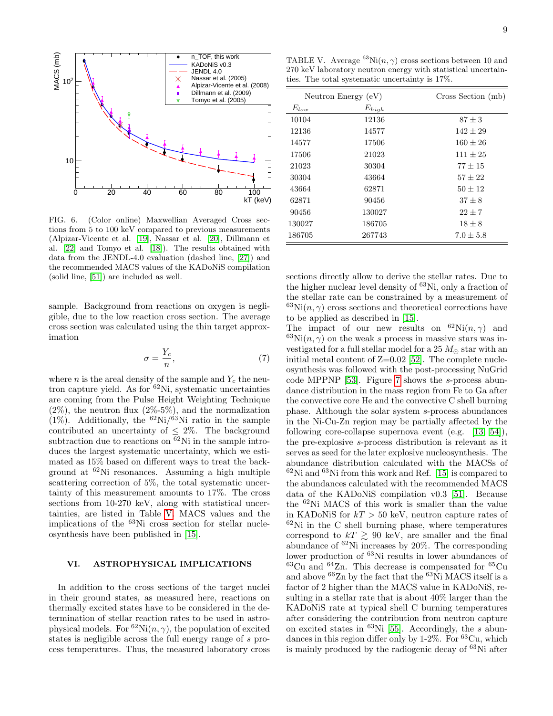

<span id="page-8-0"></span>FIG. 6. (Color online) Maxwellian Averaged Cross sections from 5 to 100 keV compared to previous measurements (Alpizar-Vicente et al. [\[19\]](#page-10-11), Nassar et al. [\[20\]](#page-10-12), Dillmann et al. [\[22\]](#page-10-13) and Tomyo et al. [\[18\]](#page-10-40)). The results obtained with data from the JENDL-4.0 evaluation (dashed line, [\[27\]](#page-10-18)) and the recommended MACS values of the KADoNiS compilation (solid line, [\[51\]](#page-10-41)) are included as well.

sample. Background from reactions on oxygen is negligible, due to the low reaction cross section. The average cross section was calculated using the thin target approximation

$$
\sigma = \frac{Y_c}{n},\tag{7}
$$

where *n* is the areal density of the sample and  $Y_c$  the neutron capture yield. As for  $62$ Ni, systematic uncertainties are coming from the Pulse Height Weighting Technique  $(2\%)$ , the neutron flux  $(2\% - 5\%)$ , and the normalization  $(1\%)$ . Additionally, the <sup>62</sup>Ni/<sup>63</sup>Ni ratio in the sample contributed an uncertainty of  $\leq 2\%$ . The background subtraction due to reactions on  $\overline{62}$ Ni in the sample introduces the largest systematic uncertainty, which we estimated as 15% based on different ways to treat the background at  ${}^{62}$ Ni resonances. Assuming a high multiple scattering correction of 5%, the total systematic uncertainty of this measurement amounts to 17%. The cross sections from 10-270 keV, along with statistical uncertainties, are listed in Table [V.](#page-8-1) MACS values and the implications of the <sup>63</sup>Ni cross section for stellar nucleosynthesis have been published in [\[15\]](#page-10-9).

## VI. ASTROPHYSICAL IMPLICATIONS

In addition to the cross sections of the target nuclei in their ground states, as measured here, reactions on thermally excited states have to be considered in the determination of stellar reaction rates to be used in astrophysical models. For  ${}^{62}\text{Ni}(n, \gamma)$ , the population of excited states is negligible across the full energy range of s process temperatures. Thus, the measured laboratory cross

<span id="page-8-1"></span>TABLE V. Average  ${}^{63}\text{Ni}(n, \gamma)$  cross sections between 10 and 270 keV laboratory neutron energy with statistical uncertainties. The total systematic uncertainty is 17%.

|           | Neutron Energy $(eV)$ | Cross Section (mb) |
|-----------|-----------------------|--------------------|
| $E_{low}$ | $E_{high}$            |                    |
| 10104     | 12136                 | $87 \pm 3$         |
| 12136     | 14577                 | $142 + 29$         |
| 14577     | 17506                 | $160 + 26$         |
| 17506     | 21023                 | $111 + 25$         |
| 21023     | 30304                 | $77 + 15$          |
| 30304     | 43664                 | $57 + 22$          |
| 43664     | 62871                 | $50 \pm 12$        |
| 62871     | 90456                 | $37 + 8$           |
| 90456     | 130027                | $22 + 7$           |
| 130027    | 186705                | $18 \pm 8$         |
| 186705    | 267743                | $7.0 \pm 5.8$      |

sections directly allow to derive the stellar rates. Due to the higher nuclear level density of  ${}^{63}$ Ni, only a fraction of the stellar rate can be constrained by a measurement of  ${}^{63}\text{Ni}(n,\gamma)$  cross sections and theoretical corrections have to be applied as described in [\[15\]](#page-10-9).

The impact of our new results on  ${}^{62}\text{Ni}(n, \gamma)$  and  $^{63}\text{Ni}(n, \gamma)$  on the weak s process in massive stars was investigated for a full stellar model for a 25  $M_{\odot}$  star with an initial metal content of  $Z=0.02$  [\[52\]](#page-11-0). The complete nucleosynthesis was followed with the post-processing NuGrid code MPPNP [\[53\]](#page-11-1). Figure [7](#page-9-2) shows the s-process abundance distribution in the mass region from Fe to Ga after the convective core He and the convective C shell burning phase. Although the solar system s-process abundances in the Ni-Cu-Zn region may be partially affected by the following core-collapse supernova event (e.g. [\[13,](#page-10-7) [54\]](#page-11-2)), the pre-explosive s-process distribution is relevant as it serves as seed for the later explosive nucleosynthesis. The abundance distribution calculated with the MACSs of  $62$ Ni and  $63$ Ni from this work and Ref. [\[15\]](#page-10-9) is compared to the abundances calculated with the recommended MACS data of the KADoNiS compilation v0.3 [\[51\]](#page-10-41). Because the <sup>62</sup>Ni MACS of this work is smaller than the value in KADoNiS for  $kT > 50$  keV, neutron capture rates of  $62$ Ni in the C shell burning phase, where temperatures correspond to  $kT \geq 90$  keV, are smaller and the final abundance of <sup>62</sup>Ni increases by 20%. The corresponding lower production of <sup>63</sup>Ni results in lower abundances of  $63$ Cu and  $64$ Zn. This decrease is compensated for  $65$ Cu and above  ${}^{66}$ Zn by the fact that the  ${}^{63}$ Ni MACS itself is a factor of 2 higher than the MACS value in KADoNiS, resulting in a stellar rate that is about 40% larger than the KADoNiS rate at typical shell C burning temperatures after considering the contribution from neutron capture on excited states in  ${}^{63}$ Ni [\[55\]](#page-11-3). Accordingly, the s abundances in this region differ only by  $1-2\%$ . For  $^{63}Cu$ , which is mainly produced by the radiogenic decay of <sup>63</sup>Ni after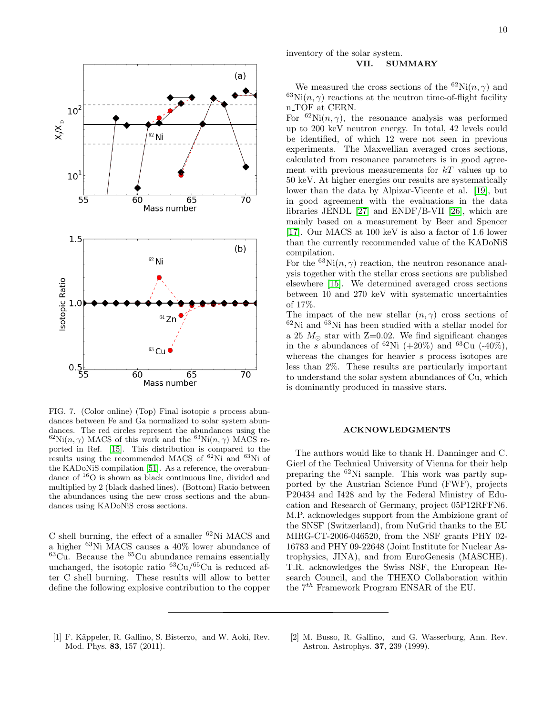

<span id="page-9-2"></span>FIG. 7. (Color online) (Top) Final isotopic s process abundances between Fe and Ga normalized to solar system abundances. The red circles represent the abundances using the <sup>62</sup>Ni $(n, \gamma)$  MACS of this work and the <sup>63</sup>Ni $(n, \gamma)$  MACS reported in Ref. [\[15\]](#page-10-9). This distribution is compared to the results using the recommended MACS of  ${}^{62}$ Ni and  ${}^{63}$ Ni of the KADoNiS compilation [\[51\]](#page-10-41). As a reference, the overabundance of <sup>16</sup>O is shown as black continuous line, divided and multiplied by 2 (black dashed lines). (Bottom) Ratio between the abundances using the new cross sections and the abundances using KADoNiS cross sections.

C shell burning, the effect of a smaller  ${}^{62}$ Ni MACS and a higher <sup>63</sup>Ni MACS causes a 40% lower abundance of  $63Cu$ . Because the  $65Cu$  abundance remains essentially unchanged, the isotopic ratio  ${}^{63}Cu/{}^{65}Cu$  is reduced after C shell burning. These results will allow to better define the following explosive contribution to the copper

## inventory of the solar system. VII. SUMMARY

## We measured the cross sections of the  ${}^{62}\text{Ni}(n,\gamma)$  and  $^{63}\text{Ni}(n, \gamma)$  reactions at the neutron time-of-flight facility n<sub>-TOF</sub> at CERN.

For  ${}^{62}$ Ni $(n, \gamma)$ , the resonance analysis was performed up to 200 keV neutron energy. In total, 42 levels could be identified, of which 12 were not seen in previous experiments. The Maxwellian averaged cross sections, calculated from resonance parameters is in good agreement with previous measurements for  $kT$  values up to 50 keV. At higher energies our results are systematically lower than the data by Alpizar-Vicente et al. [\[19\]](#page-10-11), but in good agreement with the evaluations in the data libraries JENDL [\[27\]](#page-10-18) and ENDF/B-VII [\[26\]](#page-10-17), which are mainly based on a measurement by Beer and Spencer [\[17\]](#page-10-14). Our MACS at 100 keV is also a factor of 1.6 lower than the currently recommended value of the KADoNiS compilation.

For the  ${}^{63}\text{Ni}(n,\gamma)$  reaction, the neutron resonance analysis together with the stellar cross sections are published elsewhere [\[15\]](#page-10-9). We determined averaged cross sections between 10 and 270 keV with systematic uncertainties of 17%.

The impact of the new stellar  $(n, \gamma)$  cross sections of  $62$ Ni and  $63$ Ni has been studied with a stellar model for a 25  $M_{\odot}$  star with Z=0.02. We find significant changes in the s abundances of  ${}^{62}\text{Ni} (+20\%)$  and  ${}^{63}\text{Cu} (+40\%)$ , whereas the changes for heavier s process isotopes are less than 2%. These results are particularly important to understand the solar system abundances of Cu, which is dominantly produced in massive stars.

#### ACKNOWLEDGMENTS

The authors would like to thank H. Danninger and C. Gierl of the Technical University of Vienna for their help preparing the <sup>62</sup>Ni sample. This work was partly supported by the Austrian Science Fund (FWF), projects P20434 and I428 and by the Federal Ministry of Education and Research of Germany, project 05P12RFFN6. M.P. acknowledges support from the Ambizione grant of the SNSF (Switzerland), from NuGrid thanks to the EU MIRG-CT-2006-046520, from the NSF grants PHY 02- 16783 and PHY 09-22648 (Joint Institute for Nuclear Astrophysics, JINA), and from EuroGenesis (MASCHE). T.R. acknowledges the Swiss NSF, the European Research Council, and the THEXO Collaboration within the  $7<sup>th</sup>$  Framework Program ENSAR of the EU.

- <span id="page-9-0"></span>[1] F. Käppeler, R. Gallino, S. Bisterzo, and W. Aoki, Rev. Mod. Phys. 83, 157 (2011).
- <span id="page-9-1"></span>[2] M. Busso, R. Gallino, and G. Wasserburg, Ann. Rev. Astron. Astrophys. 37, 239 (1999).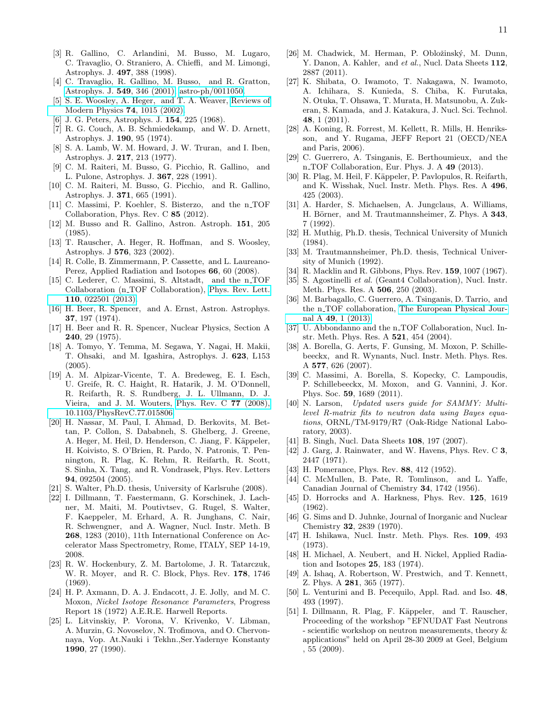- <span id="page-10-0"></span>[3] R. Gallino, C. Arlandini, M. Busso, M. Lugaro, C. Travaglio, O. Straniero, A. Chieffi, and M. Limongi, Astrophys. J. 497, 388 (1998).
- <span id="page-10-1"></span>[4] C. Travaglio, R. Gallino, M. Busso, and R. Gratton, [Astrophys. J.](http://dx.doi.org/10.1086/319087) 549, 346 (2001), [astro-ph/0011050.](http://arxiv.org/abs/astro-ph/0011050)
- <span id="page-10-2"></span>[5] S. E. Woosley, A. Heger, and T. A. Weaver, [Reviews of](http://dx.doi.org/10.1103/RevModPhys.74.1015) [Modern Physics](http://dx.doi.org/10.1103/RevModPhys.74.1015) 74, 1015 (2002).
- <span id="page-10-3"></span>[6] J. G. Peters, Astrophys. J. 154, 225 (1968).
- [7] R. G. Couch, A. B. Schmiedekamp, and W. D. Arnett, Astrophys. J. 190, 95 (1974).
- [8] S. A. Lamb, W. M. Howard, J. W. Truran, and I. Iben, Astrophys. J. 217, 213 (1977).
- C. M. Raiteri, M. Busso, G. Picchio, R. Gallino, and L. Pulone, Astrophys. J. 367, 228 (1991).
- <span id="page-10-4"></span>[10] C. M. Raiteri, M. Busso, G. Picchio, and R. Gallino, Astrophys. J. 371, 665 (1991).
- <span id="page-10-5"></span>[11] C. Massimi, P. Koehler, S. Bisterzo, and the n\_TOF Collaboration, Phys. Rev. C 85 (2012).
- <span id="page-10-6"></span>[12] M. Busso and R. Gallino, Astron. Astroph. 151, 205 (1985).
- <span id="page-10-7"></span>[13] T. Rauscher, A. Heger, R. Hoffman, and S. Woosley, Astrophys. J 576, 323 (2002).
- <span id="page-10-8"></span>[14] R. Colle, B. Zimmermann, P. Cassette, and L. Laureano-Perez, Applied Radiation and Isotopes 66, 60 (2008).
- <span id="page-10-9"></span>[15] C. Lederer, C. Massimi, S. Altstadt, and the n\_TOF Collaboration (n TOF Collaboration), [Phys. Rev. Lett.](http://dx.doi.org/ 10.1103/PhysRevLett.110.022501) 110[, 022501 \(2013\).](http://dx.doi.org/ 10.1103/PhysRevLett.110.022501)
- <span id="page-10-10"></span>[16] H. Beer, R. Spencer, and A. Ernst, Astron. Astrophys. 37, 197 (1974).
- <span id="page-10-14"></span>[17] H. Beer and R. R. Spencer, Nuclear Physics, Section A 240, 29 (1975).
- <span id="page-10-40"></span>[18] A. Tomyo, Y. Temma, M. Segawa, Y. Nagai, H. Makii, T. Ohsaki, and M. Igashira, Astrophys. J. 623, L153 (2005).
- <span id="page-10-11"></span>[19] A. M. Alpizar-Vicente, T. A. Bredeweg, E. I. Esch, U. Greife, R. C. Haight, R. Hatarik, J. M. O'Donnell, R. Reifarth, R. S. Rundberg, J. L. Ullmann, D. J. Vieira, and J. M. Wouters, [Phys. Rev. C](http://dx.doi.org/{10.1103/PhysRevC.77.015806}) 77 (2008), [10.1103/PhysRevC.77.015806.](http://dx.doi.org/{10.1103/PhysRevC.77.015806})
- <span id="page-10-12"></span>[20] H. Nassar, M. Paul, I. Ahmad, D. Berkovits, M. Bettan, P. Collon, S. Dababneh, S. Ghelberg, J. Greene, A. Heger, M. Heil, D. Henderson, C. Jiang, F. Käppeler, H. Koivisto, S. O'Brien, R. Pardo, N. Patronis, T. Pennington, R. Plag, K. Rehm, R. Reifarth, R. Scott, S. Sinha, X. Tang, and R. Vondrasek, Phys. Rev. Letters 94, 092504 (2005).
- [21] S. Walter, Ph.D. thesis, University of Karlsruhe (2008).
- <span id="page-10-13"></span>[22] I. Dillmann, T. Faestermann, G. Korschinek, J. Lachner, M. Maiti, M. Poutivtsev, G. Rugel, S. Walter, F. Kaeppeler, M. Erhard, A. R. Junghans, C. Nair, R. Schwengner, and A. Wagner, Nucl. Instr. Meth. B 268, 1283 (2010), 11th International Conference on Accelerator Mass Spectrometry, Rome, ITALY, SEP 14-19, 2008.
- <span id="page-10-15"></span>[23] R. W. Hockenbury, Z. M. Bartolome, J. R. Tatarczuk, W. R. Moyer, and R. C. Block, Phys. Rev. 178, 1746 (1969).
- <span id="page-10-32"></span>[24] H. P. Axmann, D. A. J. Endacott, J. E. Jolly, and M. C. Moxon, Nickel Isotope Resonance Parameters, Progress Report 18 (1972) A.E.R.E. Harwell Reports.
- <span id="page-10-16"></span>[25] L. Litvinskiy, P. Vorona, V. Krivenko, V. Libman, A. Murzin, G. Novoselov, N. Trofimova, and O. Chervonnaya, Vop. At.Nauki i Tekhn.,Ser.Yadernye Konstanty 1990, 27 (1990).
- <span id="page-10-17"></span>[26] M. Chadwick, M. Herman, P. Obložinský, M. Dunn, Y. Danon, A. Kahler, and et al., Nucl. Data Sheets 112, 2887 (2011).
- <span id="page-10-18"></span>[27] K. Shibata, O. Iwamoto, T. Nakagawa, N. Iwamoto, A. Ichihara, S. Kunieda, S. Chiba, K. Furutaka, N. Otuka, T. Ohsawa, T. Murata, H. Matsunobu, A. Zukeran, S. Kamada, and J. Katakura, J. Nucl. Sci. Technol. 48, 1 (2011).
- <span id="page-10-19"></span>[28] A. Koning, R. Forrest, M. Kellett, R. Mills, H. Henriksson, and Y. Rugama, JEFF Report 21 (OECD/NEA and Paris, 2006).
- <span id="page-10-20"></span>[29] C. Guerrero, A. Tsinganis, E. Berthoumieux, and the n TOF Collaboration, Eur. Phys. J. A 49 (2013).
- <span id="page-10-21"></span>[30] R. Plag, M. Heil, F. Käppeler, P. Pavlopulos, R. Reifarth, and K. Wisshak, Nucl. Instr. Meth. Phys. Res. A 496, 425 (2003).
- <span id="page-10-22"></span>[31] A. Harder, S. Michaelsen, A. Jungclaus, A. Williams, H. Börner, and M. Trautmannsheimer, Z. Phys. A 343, 7 (1992).
- [32] H. Muthig, Ph.D. thesis, Technical University of Munich (1984).
- <span id="page-10-23"></span>[33] M. Trautmannsheimer, Ph.D. thesis, Technical University of Munich (1992).
- <span id="page-10-24"></span>[34] R. Macklin and R. Gibbons, Phys. Rev. **159**, 1007 (1967).
- <span id="page-10-25"></span>[35] S. Agostinelli et al. (Geant4 Collaboration), Nucl. Instr. Meth. Phys. Res. A 506, 250 (2003).
- <span id="page-10-26"></span>[36] M. Barbagallo, C. Guerrero, A. Tsinganis, D. Tarrio, and the n<sub>-TOF</sub> collaboration, [The European Physical Jour](http://dx.doi.org/ 10.1140/epja/i2013-13156-x)nal A 49[, 1 \(2013\).](http://dx.doi.org/ 10.1140/epja/i2013-13156-x)
- <span id="page-10-27"></span>[37] U. Abbondanno and the n\_TOF Collaboration, Nucl. Instr. Meth. Phys. Res. A 521, 454 (2004).
- <span id="page-10-28"></span>[38] A. Borella, G. Aerts, F. Gunsing, M. Moxon, P. Schillebeeckx, and R. Wynants, Nucl. Instr. Meth. Phys. Res. A 577, 626 (2007).
- <span id="page-10-29"></span>[39] C. Massimi, A. Borella, S. Kopecky, C. Lampoudis, P. Schillebeeckx, M. Moxon, and G. Vannini, J. Kor. Phys. Soc. 59, 1689 (2011).
- <span id="page-10-30"></span>[40] N. Larson, Updated users quide for SAMMY: Multilevel R-matrix fits to neutron data using Bayes equations, ORNL/TM-9179/R7 (Oak-Ridge National Laboratory, 2003).
- <span id="page-10-31"></span>[41] B. Singh, Nucl. Data Sheets 108, 197 (2007).
- <span id="page-10-33"></span>[42] J. Garg, J. Rainwater, and W. Havens, Phys. Rev. C 3, 2447 (1971).
- <span id="page-10-34"></span>[43] H. Pomerance, Phys. Rev. **88**, 412 (1952).
- [44] C. McMullen, B. Pate, R. Tomlinson, and L. Yaffe, Canadian Journal of Chemistry 34, 1742 (1956).
- <span id="page-10-36"></span>[45] D. Horrocks and A. Harkness, Phys. Rev. 125, 1619 (1962).
- <span id="page-10-37"></span>[46] G. Sims and D. Juhnke, Journal of Inorganic and Nuclear Chemistry 32, 2839 (1970).
- [47] H. Ishikawa, Nucl. Instr. Meth. Phys. Res. 109, 493 (1973).
- <span id="page-10-38"></span>[48] H. Michael, A. Neubert, and H. Nickel, Applied Radiation and Isotopes 25, 183 (1974).
- <span id="page-10-39"></span>[49] A. Ishaq, A. Robertson, W. Prestwich, and T. Kennett, Z. Phys. A 281, 365 (1977).
- <span id="page-10-35"></span>[50] L. Venturini and B. Pecequilo, Appl. Rad. and Iso. 48, 493 (1997).
- <span id="page-10-41"></span>[51] I. Dillmann, R. Plag, F. Käppeler, and T. Rauscher, Proceeding of the workshop "EFNUDAT Fast Neutrons - scientific workshop on neutron measurements, theory & applications" held on April 28-30 2009 at Geel, Belgium , 55 (2009).